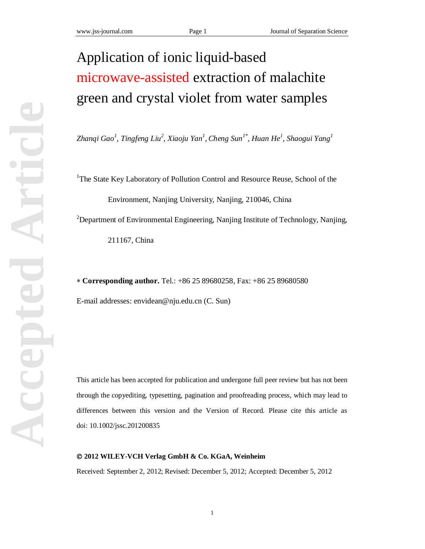# Application of ionic liquid-based microwave-assisted extraction of malachite green and crystal violet from water samples

*Zhanqi Gao<sup>1</sup> , Tingfeng Liu<sup>2</sup> , Xiaoju Yan<sup>1</sup> , Cheng Sun1\*, Huan He<sup>1</sup> , Shaogui Yang<sup>1</sup>*

<sup>1</sup>The State Key Laboratory of Pollution Control and Resource Reuse, School of the

Environment, Nanjing University, Nanjing, 210046, China

<sup>2</sup>Department of Environmental Engineering, Nanjing Institute of Technology, Nanjing,

211167, China

**Corresponding author.** Tel.: +86 25 89680258, Fax: +86 25 89680580

E-mail addresses: [envidean@nju.edu.cn](mailto:envidean@nju.edu.cn) (C. Sun)

This article has been accepted for publication and undergone full peer review but has not been through the copyediting, typesetting, pagination and proofreading process, which may lead to differences between this version and the Version of Record. Please cite this article as doi: 10.1002/jssc.201200835

#### **2012 WILEY-VCH Verlag GmbH & Co. KGaA, Weinheim**

Received: September 2, 2012; Revised: December 5, 2012; Accepted: December 5, 2012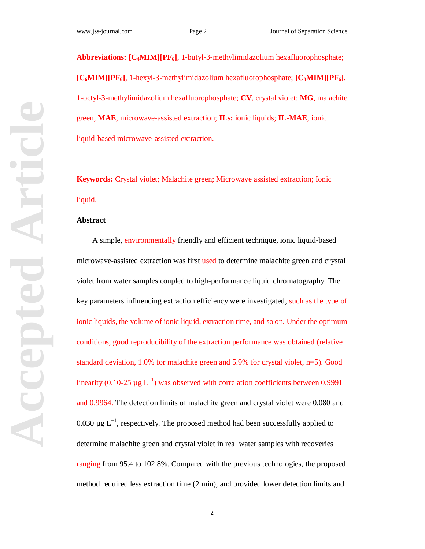**Abbreviations: [C4MIM][PF6]**, 1-butyl-3-methylimidazolium hexafluorophosphate; **[C6MIM][PF6]**, 1-hexyl-3-methylimidazolium hexafluorophosphate; **[C8MIM][PF6]**, 1-octyl-3-methylimidazolium hexafluorophosphate; **CV**, crystal violet; **MG**, malachite green; **MAE**, microwave-assisted extraction; **ILs:** ionic liquids; **IL-MAE**, ionic liquid-based microwave-assisted extraction.

**Keywords:** Crystal violet; Malachite green; Microwave assisted extraction; Ionic liquid.

#### **Abstract**

A simple, environmentally friendly and efficient technique, ionic liquid-based microwave-assisted extraction was first used to determine malachite green and crystal violet from water samples coupled to high-performance liquid chromatography. The key parameters influencing extraction efficiency were investigated, such as the type of ionic liquids, the volume of ionic liquid, extraction time, and so on. Under the optimum conditions, good reproducibility of the extraction performance was obtained (relative standard deviation, 1.0% for malachite green and 5.9% for crystal violet, n=5). Good linearity (0.10-25  $\mu$ g L<sup>-1</sup>) was observed with correlation coefficients between 0.9991 and 0.9964. The detection limits of malachite green and crystal violet were 0.080 and 0.030  $\mu$ g L<sup>-1</sup>, respectively. The proposed method had been successfully applied to determine malachite green and crystal violet in real water samples with recoveries ranging from 95.4 to 102.8%. Compared with the previous technologies, the proposed method required less extraction time (2 min), and provided lower detection limits and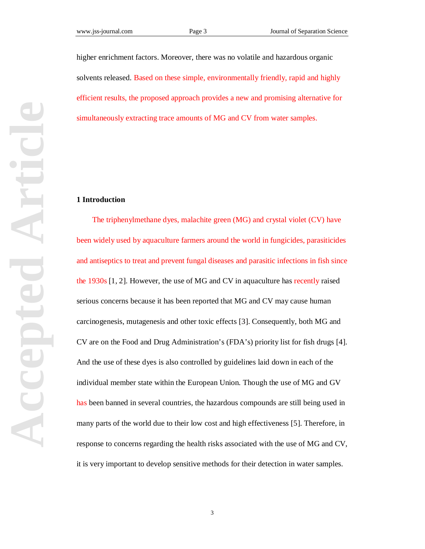higher enrichment factors. Moreover, there was no volatile and hazardous organic solvents released. Based on these simple, environmentally friendly, rapid and highly efficient results, the proposed approach provides a new and promising alternative for simultaneously extracting trace amounts of MG and CV from water samples.

#### **1 Introduction**

The triphenylmethane dyes, malachite green (MG) and crystal violet (CV) have been widely used by aquaculture farmers around the world in fungicides, parasiticides and antiseptics to treat and prevent fungal diseases and parasitic infections in fish since the 1930s [1, 2]. However, the use of MG and CV in aquaculture has recently raised serious concerns because it has been reported that MG and CV may cause human carcinogenesis, mutagenesis and other toxic effects [3]. Consequently, both MG and CV are on the Food and Drug Administration's (FDA's) priority list for fish drugs [4]. And the use of these dyes is also controlled by guidelines laid down in each of the individual member state within the European Union. Though the use of MG and GV has been banned in several countries, the hazardous compounds are still being used in many parts of the world due to their low cost and high effectiveness [5]. Therefore, in response to concerns regarding the health risks associated with the use of MG and CV, it is very important to develop sensitive methods for their detection in water samples.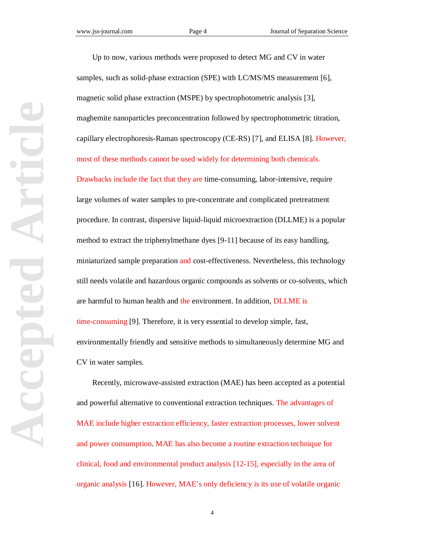Up to now, various methods were proposed to detect MG and CV in water samples, such as solid-phase extraction (SPE) with LC/MS/MS measurement [6], magnetic solid phase extraction (MSPE) by spectrophotometric analysis [3], maghemite nanoparticles preconcentration followed by spectrophotometric titration, capillary electrophoresis-Raman spectroscopy (CE-RS) [7], and ELISA [8]. However, most of these methods cannot be used widely for determining both chemicals. Drawbacks include the fact that they are time-consuming, labor-intensive, require large volumes of water samples to pre-concentrate and complicated pretreatment procedure. In contrast, dispersive liquid-liquid microextraction (DLLME) is a popular method to extract the triphenylmethane dyes [9-11] because of its easy handling, miniaturized sample preparation and cost-effectiveness. Nevertheless, this technology still needs volatile and hazardous organic compounds as solvents or co-solvents, which are harmful to human health and the environment. In addition, DLLME is time-consuming [9]. Therefore, it is very essential to develop simple, fast, environmentally friendly and sensitive methods to simultaneously determine MG and CV in water samples.

Recently, microwave-assisted extraction (MAE) has been accepted as a potential and powerful alternative to conventional extraction techniques. The advantages of MAE include higher extraction efficiency, faster extraction processes, lower solvent and power consumption. MAE has also become a routine extraction technique for clinical, food and environmental product analysis [12-15], especially in the area of organic analysis [16]. However, MAE's only deficiency is its use of volatile organic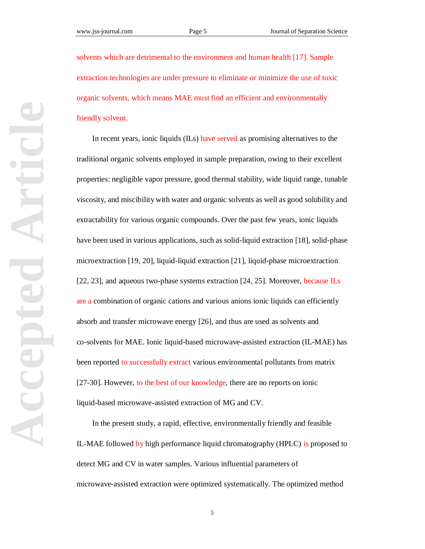solvents which are detrimental to the environment and human health [17]. Sample extraction technologies are under pressure to eliminate or minimize the use of toxic organic solvents, which means MAE must find an efficient and environmentally friendly solvent.

In recent years, ionic liquids (ILs) have served as promising alternatives to the traditional organic solvents employed in sample preparation, owing to their excellent properties: negligible vapor pressure, good thermal stability, wide liquid range, tunable viscosity, and miscibility with water and organic solvents as well as good solubility and extractability for various organic compounds. Over the past few years, ionic liquids have been used in various applications, such as solid-liquid extraction [18], solid-phase microextraction [19, 20], liquid-liquid extraction [21], liquid-phase microextraction [22, 23], and aqueous two-phase systems extraction [24, 25]. Moreover, because ILs are a combination of organic cations and various anions ionic liquids can efficiently absorb and transfer microwave energy [26], and thus are used as solvents and co-solvents for MAE. Ionic liquid-based microwave-assisted extraction (IL-MAE) has been reported to successfully extract various environmental pollutants from matrix [27-30]. However, to the best of our knowledge, there are no reports on ionic liquid-based microwave-assisted extraction of MG and CV.

In the present study, a rapid, effective, environmentally friendly and feasible IL-MAE followed by high performance liquid chromatography (HPLC) is proposed to detect MG and CV in water samples. Various influential parameters of microwave-assisted extraction were optimized systematically. The optimized method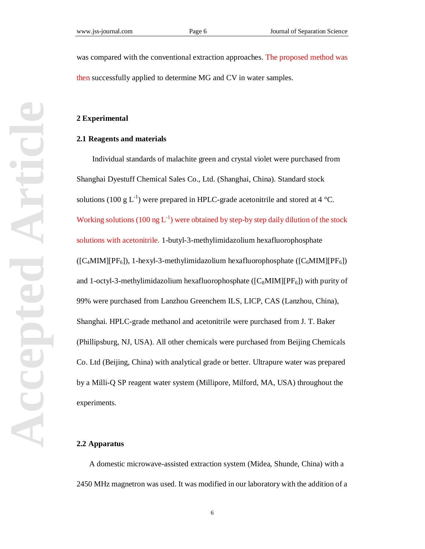was compared with the conventional extraction approaches. The proposed method was then successfully applied to determine MG and CV in water samples.

#### **2 Experimental**

#### **2.1 Reagents and materials**

Individual standards of malachite green and crystal violet were purchased from Shanghai Dyestuff Chemical Sales Co., Ltd. (Shanghai, China). Standard stock solutions (100 g L<sup>-1</sup>) were prepared in HPLC-grade acetonitrile and stored at 4 °C. Working solutions (100 ng  $L^{-1}$ ) were obtained by step-by step daily dilution of the stock solutions with acetonitrile. 1-butyl-3-methylimidazolium hexafluorophosphate  $({\rm [C_4MIM][PF_6]}, {\rm 1-hexyl-3-methylimidazolium hexafluorophosphate ([C_6MIM][PF_6])}$ and 1-octyl-3-methylimidazolium hexafluorophosphate ( $[C_8MIM][PF_6]$ ) with purity of 99% were purchased from Lanzhou Greenchem ILS, LICP, CAS (Lanzhou, China), Shanghai. HPLC-grade methanol and acetonitrile were purchased from J. T. Baker (Phillipsburg, NJ, USA). All other chemicals were purchased from Beijing Chemicals Co. Ltd (Beijing, China) with analytical grade or better. Ultrapure water was prepared by a Milli-Q SP reagent water system (Millipore, Milford, MA, USA) throughout the experiments.

#### **2.2 Apparatus**

 A domestic microwave-assisted extraction system (Midea, Shunde, China) with a 2450 MHz magnetron was used. It was modified in our laboratory with the addition of a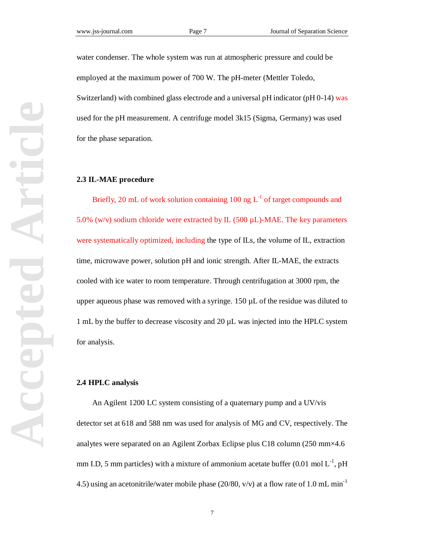water condenser. The whole system was run at atmospheric pressure and could be employed at the maximum power of 700 W. The pH-meter (Mettler Toledo, Switzerland) with combined glass electrode and a universal pH indicator (pH 0-14) was used for the pH measurement. A centrifuge model 3k15 (Sigma, Germany) was used for the phase separation.

#### **2.3 IL-MAE procedure**

Briefly, 20 mL of work solution containing 100 ng  $L^{-1}$  of target compounds and 5.0% (w/v) sodium chloride were extracted by IL (500  $\mu$ L)-MAE. The key parameters were systematically optimized, including the type of ILs, the volume of IL, extraction time, microwave power, solution pH and ionic strength. After IL-MAE, the extracts cooled with ice water to room temperature. Through centrifugation at 3000 rpm, the upper aqueous phase was removed with a syringe.  $150 \mu L$  of the residue was diluted to 1 mL by the buffer to decrease viscosity and 20 µL was injected into the HPLC system for analysis.

#### **2.4 HPLC analysis**

An Agilent 1200 LC system consisting of a quaternary pump and a UV/vis detector set at 618 and 588 nm was used for analysis of MG and CV, respectively. The analytes were separated on an Agilent Zorbax Eclipse plus C18 column (250 mm×4.6 mm I.D, 5 mm particles) with a mixture of ammonium acetate buffer  $(0.01 \text{ mol L}^{-1}, \text{pH})$ 4.5) using an acetonitrile/water mobile phase (20/80, v/v) at a flow rate of 1.0 mL min<sup>-1</sup>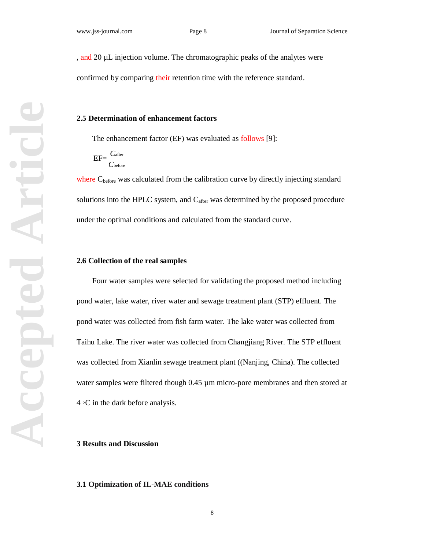, and 20 µL injection volume. The chromatographic peaks of the analytes were

confirmed by comparing their retention time with the reference standard.

#### **2.5 Determination of enhancement factors**

The enhancement factor (EF) was evaluated as follows [9]:

$$
EF = \frac{C_{after}}{C_{before}}
$$

where C<sub>before</sub> was calculated from the calibration curve by directly injecting standard solutions into the HPLC system, and  $C_{after}$  was determined by the proposed procedure under the optimal conditions and calculated from the standard curve.

#### **2.6 Collection of the real samples**

Four water samples were selected for validating the proposed method including pond water, lake water, river water and sewage treatment plant (STP) effluent. The pond water was collected from fish farm water. The lake water was collected from Taihu Lake. The river water was collected from Changjiang River. The STP effluent was collected from Xianlin sewage treatment plant ((Nanjing, China). The collected water samples were filtered though 0.45  $\mu$ m micro-pore membranes and then stored at  $4 \circ C$  in the dark before analysis.

#### **3 Results and Discussion**

#### **3.1 Optimization of IL-MAE conditions**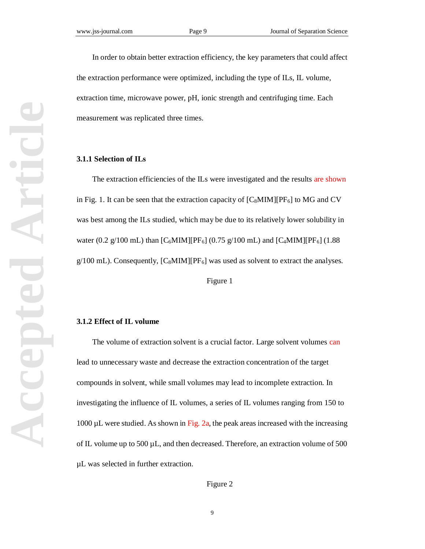In order to obtain better extraction efficiency, the key parameters that could affect the extraction performance were optimized, including the type of ILs, IL volume, extraction time, microwave power, pH, ionic strength and centrifuging time. Each measurement was replicated three times.

#### **3.1.1 Selection of ILs**

The extraction efficiencies of the ILs were investigated and the results are shown in Fig. 1. It can be seen that the extraction capacity of  $[C_8MIM][PF_6]$  to MG and CV was best among the ILs studied, which may be due to its relatively lower solubility in water (0.2 g/100 mL) than  $[C_6MIM][PF_6]$  (0.75 g/100 mL) and  $[C_4MIM][PF_6]$  (1.88  $g/100$  mL). Consequently,  $[C_8MIM][PF_6]$  was used as solvent to extract the analyses.

Figure 1

#### **3.1.2 Effect of IL volume**

The volume of extraction solvent is a crucial factor. Large solvent volumes can lead to unnecessary waste and decrease the extraction concentration of the target compounds in solvent, while small volumes may lead to incomplete extraction. In investigating the influence of IL volumes, a series of IL volumes ranging from 150 to 1000  $\mu$ L were studied. As shown in Fig. 2a, the peak areas increased with the increasing of IL volume up to  $500 \mu L$ , and then decreased. Therefore, an extraction volume of  $500$ µL was selected in further extraction.

Figure 2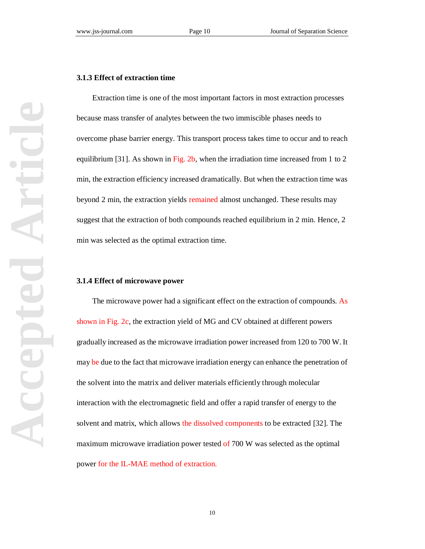# **Accepted Article** Articl Accepted

#### **3.1.3 Effect of extraction time**

Extraction time is one of the most important factors in most extraction processes because mass transfer of analytes between the two immiscible phases needs to overcome phase barrier energy. This transport process takes time to occur and to reach equilibrium [31]. As shown in Fig. 2b, when the irradiation time increased from 1 to 2 min, the extraction efficiency increased dramatically. But when the extraction time was beyond 2 min, the extraction yields remained almost unchanged. These results may suggest that the extraction of both compounds reached equilibrium in 2 min. Hence, 2 min was selected as the optimal extraction time.

#### **3.1.4 Effect of microwave power**

The microwave power had a significant effect on the extraction of compounds. As shown in Fig. 2c, the extraction yield of MG and CV obtained at different powers gradually increased as the microwave irradiation power increased from 120 to 700 W. It may be due to the fact that microwave irradiation energy can enhance the penetration of the solvent into the matrix and deliver materials efficiently through molecular interaction with the electromagnetic field and offer a rapid transfer of energy to the solvent and matrix, which allows the dissolved components to be extracted [32]. The maximum microwave irradiation power tested of 700 W was selected as the optimal power for the IL-MAE method of extraction.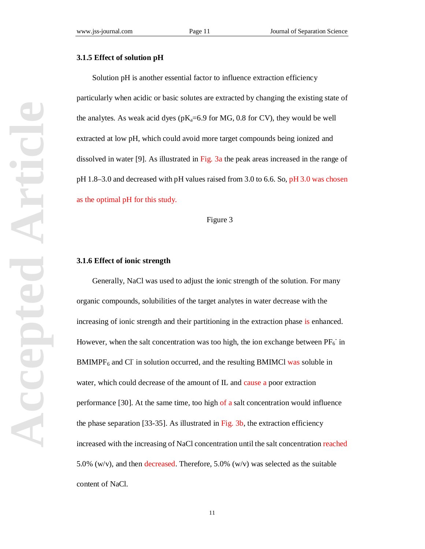#### **3.1.5 Effect of solution pH**

Solution pH is another essential factor to influence extraction efficiency particularly when acidic or basic solutes are extracted by changing the existing state of the analytes. As weak acid dyes ( $pK_a=6.9$  for MG, 0.8 for CV), they would be well extracted at low pH, which could avoid more target compounds being ionized and dissolved in water [9]. As illustrated in Fig. 3a the peak areas increased in the range of pH 1.8–3.0 and decreased with pH values raised from 3.0 to 6.6. So, pH 3.0 was chosen as the optimal pH for this study.

#### Figure 3

#### **3.1.6 Effect of ionic strength**

Generally, NaCl was used to adjust the ionic strength of the solution. For many organic compounds, solubilities of the target analytes in water decrease with the increasing of ionic strength and their partitioning in the extraction phase is enhanced. However, when the salt concentration was too high, the ion exchange between  $PF_6^-$  in  $BMIMPF<sub>6</sub>$  and CI in solution occurred, and the resulting BMIMCl was soluble in water, which could decrease of the amount of IL and cause a poor extraction performance [30]. At the same time, too high of a salt concentration would influence the phase separation [33-35]. As illustrated in Fig. 3b, the extraction efficiency increased with the increasing of NaCl concentration until the salt concentration reached 5.0% (w/v), and then decreased. Therefore, 5.0% (w/v) was selected as the suitable content of NaCl.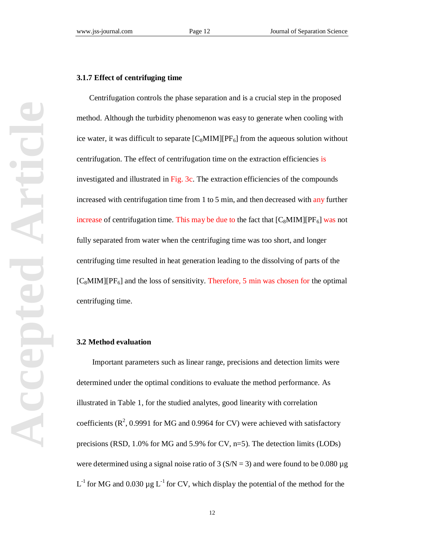#### **3.1.7 Effect of centrifuging time**

 Centrifugation controls the phase separation and is a crucial step in the proposed method. Although the turbidity phenomenon was easy to generate when cooling with ice water, it was difficult to separate  $[C_8MIM][PF_6]$  from the aqueous solution without centrifugation. The effect of centrifugation time on the extraction efficiencies is investigated and illustrated in Fig. 3c. The extraction efficiencies of the compounds increased with centrifugation time from 1 to 5 min, and then decreased with any further increase of centrifugation time. This may be due to the fact that  $[C_8MIM][PF_6]$  was not fully separated from water when the centrifuging time was too short, and longer centrifuging time resulted in heat generation leading to the dissolving of parts of the  $[C_8MIM][PF_6]$  and the loss of sensitivity. Therefore, 5 min was chosen for the optimal centrifuging time.

#### **3.2 Method evaluation**

Important parameters such as linear range, precisions and detection limits were determined under the optimal conditions to evaluate the method performance. As illustrated in Table 1, for the studied analytes, good linearity with correlation coefficients  $(R^2, 0.9991$  for MG and 0.9964 for CV) were achieved with satisfactory precisions (RSD, 1.0% for MG and 5.9% for CV, n=5). The detection limits (LODs) were determined using a signal noise ratio of  $3 (S/N = 3)$  and were found to be 0.080 µg L<sup>-1</sup> for MG and 0.030  $\mu$ g L<sup>-1</sup> for CV, which display the potential of the method for the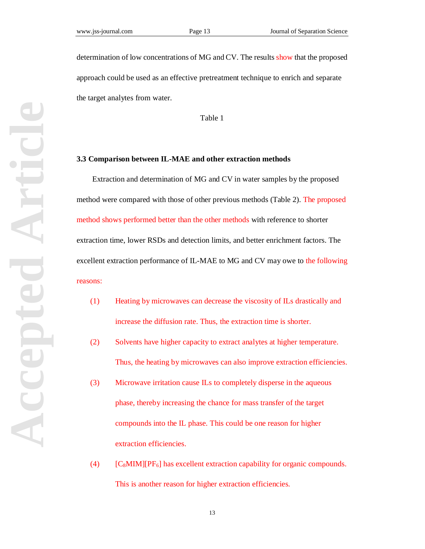determination of low concentrations of MG and CV. The results show that the proposed approach could be used as an effective pretreatment technique to enrich and separate the target analytes from water.

Table 1

#### **3.3 Comparison between IL-MAE and other extraction methods**

Extraction and determination of MG and CV in water samples by the proposed method were compared with those of other previous methods (Table 2). The proposed method shows performed better than the other methods with reference to shorter extraction time, lower RSDs and detection limits, and better enrichment factors. The excellent extraction performance of IL-MAE to MG and CV may owe to the following reasons:

- (1) Heating by microwaves can decrease the viscosity of ILs drastically and increase the diffusion rate. Thus, the extraction time is shorter.
- (2) Solvents have higher capacity to extract analytes at higher temperature. Thus, the heating by microwaves can also improve extraction efficiencies.
- (3) Microwave irritation cause ILs to completely disperse in the aqueous phase, thereby increasing the chance for mass transfer of the target compounds into the IL phase. This could be one reason for higher extraction efficiencies.
- (4)  $[C_8MIM][PF_6]$  has excellent extraction capability for organic compounds. This is another reason for higher extraction efficiencies.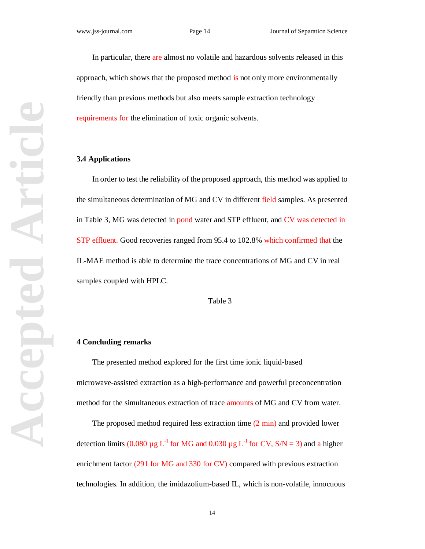In particular, there are almost no volatile and hazardous solvents released in this approach, which shows that the proposed method is not only more environmentally friendly than previous methods but also meets sample extraction technology requirements for the elimination of toxic organic solvents.

#### **3.4 Applications**

In order to test the reliability of the proposed approach, this method was applied to the simultaneous determination of MG and CV in different field samples. As presented in Table 3, MG was detected in pond water and STP effluent, and CV was detected in STP effluent. Good recoveries ranged from 95.4 to 102.8% which confirmed that the IL-MAE method is able to determine the trace concentrations of MG and CV in real samples coupled with HPLC.

Table 3

#### **4 Concluding remarks**

The presented method explored for the first time ionic liquid-based microwave-assisted extraction as a high-performance and powerful preconcentration method for the simultaneous extraction of trace amounts of MG and CV from water.

The proposed method required less extraction time  $(2 \text{ min})$  and provided lower detection limits (0.080  $\mu$ g L<sup>-1</sup> for MG and 0.030  $\mu$ g L<sup>-1</sup> for CV, S/N = 3) and a higher enrichment factor (291 for MG and 330 for CV) compared with previous extraction technologies. In addition, the imidazolium-based IL, which is non-volatile, innocuous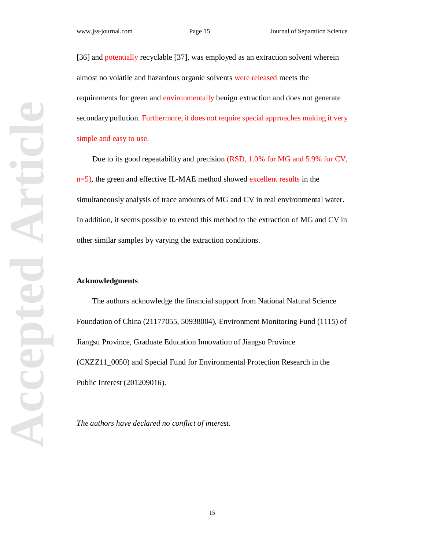[36] and potentially recyclable [37], was employed as an extraction solvent wherein almost no volatile and hazardous organic solvents were released meets the requirements for green and environmentally benign extraction and does not generate secondary pollution. Furthermore, it does not require special approaches making it very simple and easy to use.

Due to its good repeatability and precision (RSD, 1.0% for MG and 5.9% for CV, n=5), the green and effective IL-MAE method showed excellent results in the simultaneously analysis of trace amounts of MG and CV in real environmental water. In addition, it seems possible to extend this method to the extraction of MG and CV in other similar samples by varying the extraction conditions.

#### **Acknowledgments**

The authors acknowledge the financial support from National Natural Science Foundation of China (21177055, 50938004), Environment Monitoring Fund (1115) of Jiangsu Province, Graduate Education Innovation of Jiangsu Province (CXZZ11\_0050) and Special Fund for Environmental Protection Research in the Public Interest (201209016).

*The authors have declared no conflict of interest.*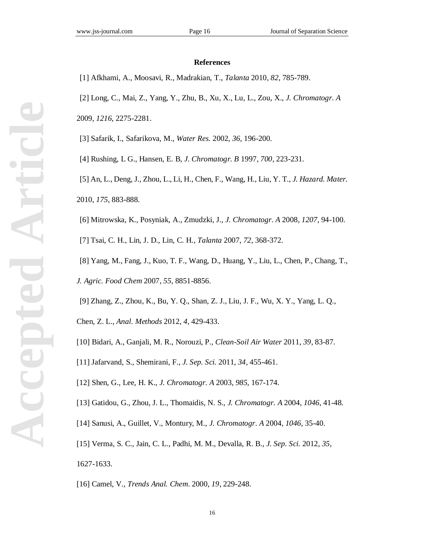#### **References**

[1] Afkhami, A., Moosavi, R., Madrakian, T., *Talanta* 2010, *82*, 785-789.

[2] Long, C., Mai, Z., Yang, Y., Zhu, B., Xu, X., Lu, L., Zou, X., *J. Chromatogr. A*

2009, *1216*, 2275-2281.

[3] Safarik, I., Safarikova, M., *Water Res.* 2002, *36*, 196-200.

[4] Rushing, L G., Hansen, E. B, *J. Chromatogr. B* 1997, *700*, 223-231.

 [5] An, L., Deng, J., Zhou, L., Li, H., Chen, F., Wang, H., Liu, Y. T., *J. Hazard. Mater.* 2010, *175*, 883-888.

[6] Mitrowska, K., Posyniak, A., Zmudzki, J., *J. Chromatogr. A* 2008, *1207*, 94-100.

[7] Tsai, C. H., Lin, J. D., Lin, C. H., *Talanta* 2007, *72*, 368-372.

 [8] Yang, M., Fang, J., Kuo, T. F., Wang, D., Huang, Y., Liu, L., Chen, P., Chang, T., *J. Agric. Food Chem* 2007, *55*, 8851-8856.

[9] Zhang, Z., Zhou, K., Bu, Y. Q., Shan, Z. J., Liu, J. F., Wu, X. Y., Yang, L. Q.,

Chen, Z. L., *Anal. Methods* 2012, *4*, 429-433.

- [10] Bidari, A., Ganjali, M. R., Norouzi, P., *Clean-Soil Air Water* 2011, *39*, 83-87.
- [11] Jafarvand, S., Shemirani, F., *J. Sep. Sci.* 2011, *34*, 455-461.

[12] Shen, G., Lee, H. K., *J. Chromatogr. A* 2003, *985*, 167-174.

[13] Gatidou, G., Zhou, J. L., Thomaidis, N. S., *J. Chromatogr. A* 2004, *1046*, 41-48.

[14] Sanusi, A., Guillet, V., Montury, M., *J. Chromatogr. A* 2004, *1046*, 35-40.

[15] Verma, S. C., Jain, C. L., Padhi, M. M., Devalla, R. B., *J. Sep. Sci.* 2012, *35*, 1627-1633.

[16] Camel, V., *Trends Anal. Chem.* 2000, *19*, 229-248.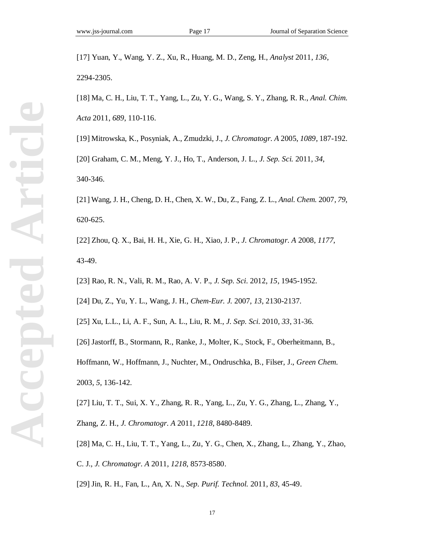[17] Yuan, Y., Wang, Y. Z., Xu, R., Huang, M. D., Zeng, H., *Analyst* 2011, *136*, 2294-2305.

[18] Ma, C. H., Liu, T. T., Yang, L., Zu, Y. G., Wang, S. Y., Zhang, R. R., *Anal. Chim. Acta* 2011, *689*, 110-116.

[19] Mitrowska, K., Posyniak, A., Zmudzki, J., *J. Chromatogr. A* 2005, *1089*, 187-192. [20] Graham, C. M., Meng, Y. J., Ho, T., Anderson, J. L., *J. Sep. Sci.* 2011, *34*, 340-346.

[21] Wang, J. H., Cheng, D. H., Chen, X. W., Du, Z., Fang, Z. L., *Anal. Chem.* 2007, *79*, 620-625.

[22] Zhou, Q. X., Bai, H. H., Xie, G. H., Xiao, J. P., *J. Chromatogr. A* 2008, *1177*, 43-49.

[23] Rao, R. N., Vali, R. M., Rao, A. V. P., *J. Sep. Sci.* 2012, *15*, 1945-1952.

[24] Du, Z., Yu, Y. L., Wang, J. H., *Chem-Eur. J.* 2007, *13*, 2130-2137.

[25] Xu, L.L., Li, A. F., Sun, A. L., Liu, R. M., *J. Sep. Sci.* 2010, *33*, 31-36.

[26] Jastorff, B., Stormann, R., Ranke, J., Molter, K., Stock, F., Oberheitmann, B.,

Hoffmann, W., Hoffmann, J., Nuchter, M., Ondruschka, B., Filser, J., *Green Chem.* 2003, *5*, 136-142.

[27] Liu, T. T., Sui, X. Y., Zhang, R. R., Yang, L., Zu, Y. G., Zhang, L., Zhang, Y., Zhang, Z. H., *J. Chromatogr. A* 2011, *1218*, 8480-8489.

[28] Ma, C. H., Liu, T. T., Yang, L., Zu, Y. G., Chen, X., Zhang, L., Zhang, Y., Zhao, C. J., *J. Chromatogr. A* 2011, *1218*, 8573-8580.

[29] Jin, R. H., Fan, L., An, X. N., *Sep. Purif. Technol.* 2011, *83*, 45-49.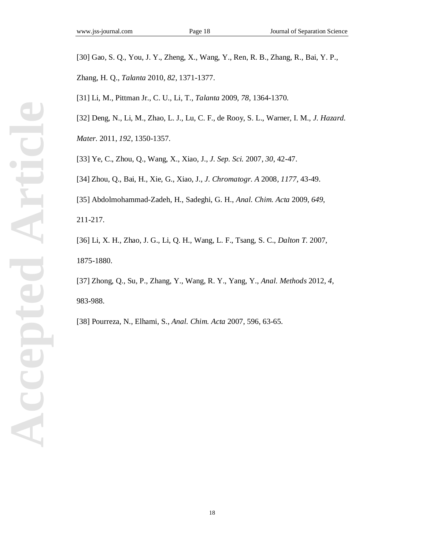[30] Gao, S. Q., You, J. Y., Zheng, X., Wang, Y., Ren, R. B., Zhang, R., Bai, Y. P.,

Zhang, H. Q., *Talanta* 2010, *82*, 1371-1377.

[31] Li, M., Pittman Jr., C. U., Li, T., *Talanta* 2009, *78*, 1364-1370.

[32] Deng, N., Li, M., Zhao, L. J., Lu, C. F., de Rooy, S. L., Warner, I. M., *J. Hazard.*

*Mater.* 2011, *192*, 1350-1357.

[33] Ye, C., Zhou, Q., Wang, X., Xiao, J., *J. Sep. Sci.* 2007, *30*, 42-47.

[34] Zhou, Q., Bai, H., Xie, G., Xiao, J., *J. Chromatogr. A* 2008, *1177*, 43-49.

[35] Abdolmohammad-Zadeh, H., Sadeghi, G. H., *Anal. Chim. Acta* 2009, *649*, 211-217.

[36] Li, X. H., Zhao, J. G., Li, Q. H., Wang, L. F., Tsang, S. C., *Dalton T.* 2007, 1875-1880.

[37] Zhong, Q., Su, P., Zhang, Y., Wang, R. Y., Yang, Y., *Anal. Methods* 2012, *4*, 983-988.

[38] Pourreza, N., Elhami, S., *Anal. Chim. Acta* 2007, 596, 63-65.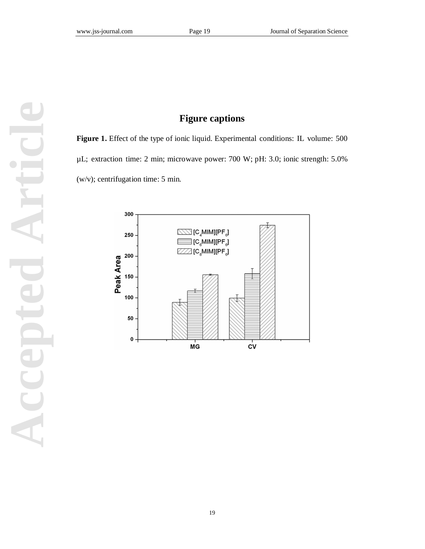# **Figure captions**

**Figure 1.** Effect of the type of ionic liquid. Experimental conditions: IL volume: 500 µL; extraction time: 2 min; microwave power: 700 W; pH: 3.0; ionic strength: 5.0% (w/v); centrifugation time: 5 min.

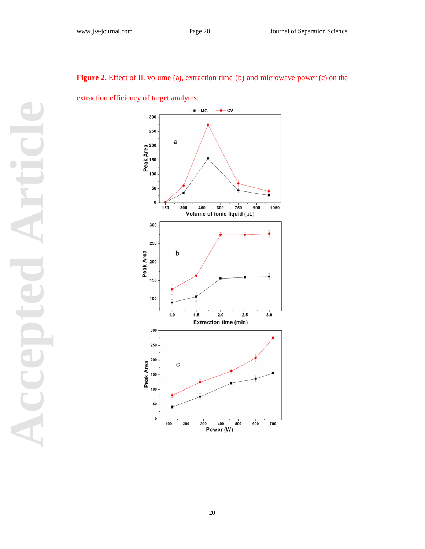

# Figure 2. Effect of IL volume (a), extraction time (b) and microwave power (c) on the

extraction efficiency of target analytes.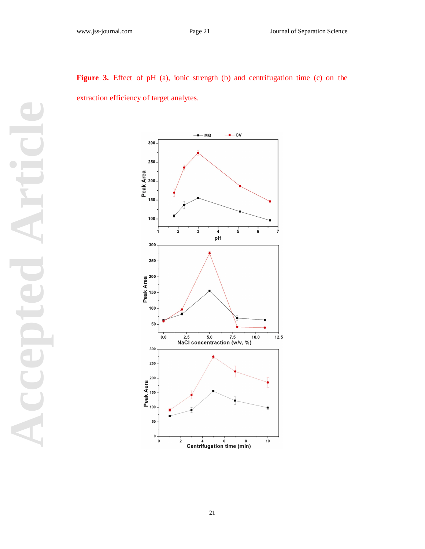



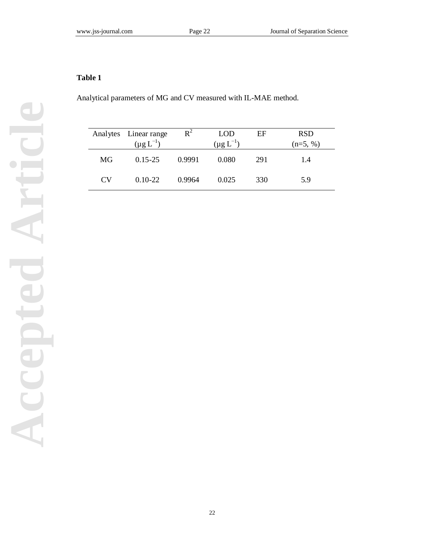## **Table 1**

Analytical parameters of MG and CV measured with IL-MAE method.

|    | Analytes Linear range | $R^2$<br><b>LOD</b><br>EF |                  | <b>RSD</b> |            |
|----|-----------------------|---------------------------|------------------|------------|------------|
|    | $(\mu g L^{-1})$      |                           | $(\mu g L^{-1})$ |            | $(n=5, %)$ |
| MG | $0.15 - 25$           | 0.9991                    | 0.080            | 291        | 1.4        |
| CV | $0.10 - 22$           | 0.9964                    | 0.025            | 330        | 5.9        |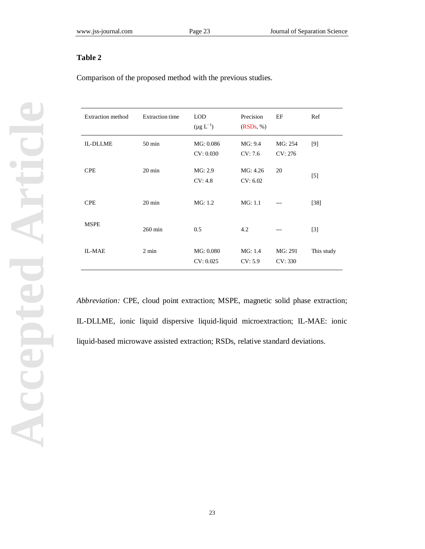### **Table 2**

Comparison of the proposed method with the previous studies.

| <b>Extraction method</b> | <b>Extraction time</b> | <b>LOD</b><br>$(\mu g L^{-1})$ | Precision<br>(RSDs, %) | EF                 | Ref        |
|--------------------------|------------------------|--------------------------------|------------------------|--------------------|------------|
| <b>IL-DLLME</b>          | 50 min                 | MG: 0.086<br>CV: 0.030         | MG: 9.4<br>CV: 7.6     | MG: 254<br>CV: 276 | [9]        |
| <b>CPE</b>               | $20 \text{ min}$       | MG: 2.9<br>CV: 4.8             | MG: 4.26<br>CV: 6.02   | 20                 | $[5]$      |
| <b>CPE</b>               | $20 \text{ min}$       | MG: 1.2                        | MG: 1.1                |                    | $[38]$     |
| <b>MSPE</b>              | $260 \text{ min}$      | 0.5                            | 4.2                    |                    | $[3]$      |
| <b>IL-MAE</b>            | $2 \text{ min}$        | MG: 0.080<br>CV: 0.025         | MG: 1.4<br>CV: 5.9     | MG: 291<br>CV: 330 | This study |

*Abbreviation:* CPE, cloud point extraction; MSPE, magnetic solid phase extraction; IL-DLLME, ionic liquid dispersive liquid-liquid microextraction; IL-MAE: ionic liquid-based microwave assisted extraction; RSDs, relative standard deviations.